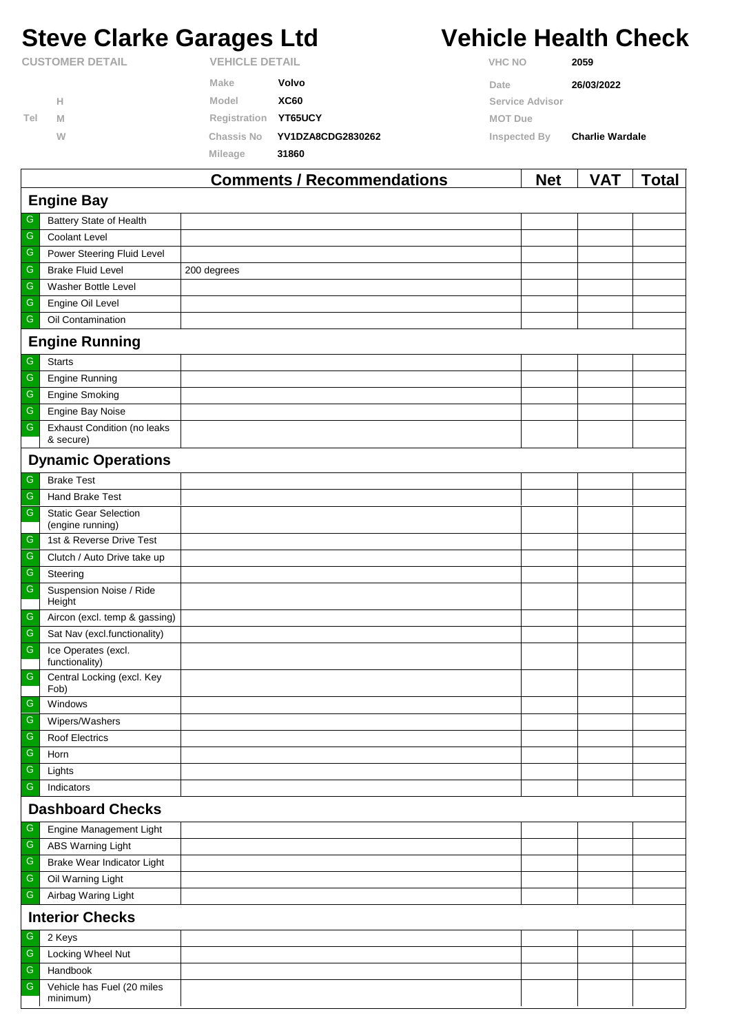# **Steve Clarke Garages Ltd Vehicle Health Check**

|                        |   |                   | Commonts / Recommondations |                | <b>Not</b>      | <b>VAT</b>             | Total |
|------------------------|---|-------------------|----------------------------|----------------|-----------------|------------------------|-------|
|                        |   | <b>Mileage</b>    | 31860                      |                |                 |                        |       |
|                        | W | <b>Chassis No</b> | YV1DZA8CDG2830262          | Inspected By   |                 | <b>Charlie Wardale</b> |       |
| Tel                    | M | Registration      | YT65UCY                    | <b>MOT Due</b> |                 |                        |       |
|                        | Н | Model             | <b>XC60</b>                |                | Service Advisor |                        |       |
|                        |   | <b>Make</b>       | Volvo                      | Date           |                 | 26/03/2022             |       |
| <b>CUSTOMER DETAIL</b> |   |                   | <b>VEHICLE DETAIL</b>      |                | <b>VHC NO</b>   | 2059                   |       |

|                         |                                                  | Comments / Recommendations | <b>Net</b> | <b>VAI</b> | <u>i</u> otal |  |  |  |
|-------------------------|--------------------------------------------------|----------------------------|------------|------------|---------------|--|--|--|
|                         | <b>Engine Bay</b>                                |                            |            |            |               |  |  |  |
| G                       | Battery State of Health                          |                            |            |            |               |  |  |  |
| ${\mathsf G}$           | Coolant Level                                    |                            |            |            |               |  |  |  |
| $\overline{\mathbb{G}}$ | Power Steering Fluid Level                       |                            |            |            |               |  |  |  |
| ${\mathsf G}$           | <b>Brake Fluid Level</b>                         | 200 degrees                |            |            |               |  |  |  |
| ${\mathsf G}$           | Washer Bottle Level                              |                            |            |            |               |  |  |  |
| ${\mathsf G}$           | Engine Oil Level                                 |                            |            |            |               |  |  |  |
| ${\mathsf G}$           | Oil Contamination                                |                            |            |            |               |  |  |  |
|                         | <b>Engine Running</b>                            |                            |            |            |               |  |  |  |
| G                       | <b>Starts</b>                                    |                            |            |            |               |  |  |  |
| ${\mathsf G}$           | Engine Running                                   |                            |            |            |               |  |  |  |
| ${\mathsf G}$           | Engine Smoking                                   |                            |            |            |               |  |  |  |
| ${\mathsf G}$           | Engine Bay Noise                                 |                            |            |            |               |  |  |  |
| ${\mathsf G}$           | <b>Exhaust Condition (no leaks</b><br>& secure)  |                            |            |            |               |  |  |  |
|                         | <b>Dynamic Operations</b>                        |                            |            |            |               |  |  |  |
| G                       | <b>Brake Test</b>                                |                            |            |            |               |  |  |  |
| ${\mathsf G}$           | Hand Brake Test                                  |                            |            |            |               |  |  |  |
| ${\mathsf G}$           | <b>Static Gear Selection</b><br>(engine running) |                            |            |            |               |  |  |  |
| G                       | 1st & Reverse Drive Test                         |                            |            |            |               |  |  |  |
| ${\mathsf G}$           | Clutch / Auto Drive take up                      |                            |            |            |               |  |  |  |
| ${\mathsf G}$           | Steering                                         |                            |            |            |               |  |  |  |
| ${\mathsf G}$           | Suspension Noise / Ride<br>Height                |                            |            |            |               |  |  |  |
| G                       | Aircon (excl. temp & gassing)                    |                            |            |            |               |  |  |  |
| ${\mathsf G}$           | Sat Nav (excl.functionality)                     |                            |            |            |               |  |  |  |
| $\overline{\mathbb{G}}$ | Ice Operates (excl.<br>functionality)            |                            |            |            |               |  |  |  |
| ${\mathsf G}$           | Central Locking (excl. Key<br>Fob)               |                            |            |            |               |  |  |  |
| ${\mathsf G}$           | Windows                                          |                            |            |            |               |  |  |  |
| $\mathsf G$             | Wipers/Washers                                   |                            |            |            |               |  |  |  |
| G                       | Roof Electrics                                   |                            |            |            |               |  |  |  |
| $\overline{\mathbb{G}}$ | Horn                                             |                            |            |            |               |  |  |  |
| ${\mathsf G}$           | Lights                                           |                            |            |            |               |  |  |  |
| ${\mathsf G}$           | Indicators                                       |                            |            |            |               |  |  |  |
| <b>Dashboard Checks</b> |                                                  |                            |            |            |               |  |  |  |
| ${\mathsf G}$           | Engine Management Light                          |                            |            |            |               |  |  |  |
| ${\mathsf G}$           | <b>ABS Warning Light</b>                         |                            |            |            |               |  |  |  |
| ${\mathsf G}$           | Brake Wear Indicator Light                       |                            |            |            |               |  |  |  |
| $\mathsf G$             | Oil Warning Light                                |                            |            |            |               |  |  |  |
| ${\mathsf G}$           | Airbag Waring Light                              |                            |            |            |               |  |  |  |
| <b>Interior Checks</b>  |                                                  |                            |            |            |               |  |  |  |
| G                       | 2 Keys                                           |                            |            |            |               |  |  |  |
| ${\mathsf G}$           | Locking Wheel Nut                                |                            |            |            |               |  |  |  |
| ${\mathsf G}$           | Handbook                                         |                            |            |            |               |  |  |  |
| G                       | Vehicle has Fuel (20 miles<br>minimum)           |                            |            |            |               |  |  |  |